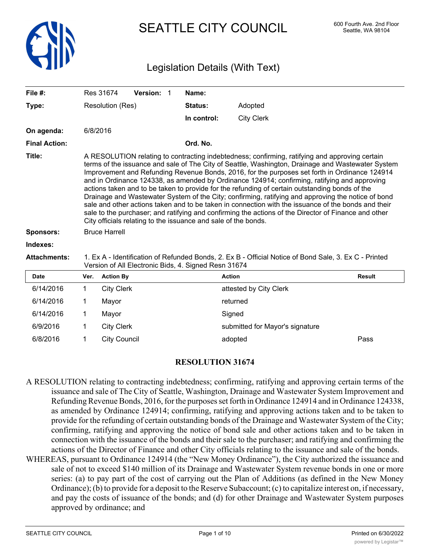

# SEATTLE CITY COUNCIL 600 Fourth Ave. 2nd Floor

# Legislation Details (With Text)

| File $#$ :           |                                                                                                                                                                                                                                                                                                                                                                                                                                                                                                                                                                                                                                                                                                                                                                                                                                                                                               | Res 31674               | Version: 1                                           | Name:       |                                                                                                       |               |
|----------------------|-----------------------------------------------------------------------------------------------------------------------------------------------------------------------------------------------------------------------------------------------------------------------------------------------------------------------------------------------------------------------------------------------------------------------------------------------------------------------------------------------------------------------------------------------------------------------------------------------------------------------------------------------------------------------------------------------------------------------------------------------------------------------------------------------------------------------------------------------------------------------------------------------|-------------------------|------------------------------------------------------|-------------|-------------------------------------------------------------------------------------------------------|---------------|
| Type:                |                                                                                                                                                                                                                                                                                                                                                                                                                                                                                                                                                                                                                                                                                                                                                                                                                                                                                               | <b>Resolution (Res)</b> |                                                      | Status:     | Adopted                                                                                               |               |
|                      |                                                                                                                                                                                                                                                                                                                                                                                                                                                                                                                                                                                                                                                                                                                                                                                                                                                                                               |                         |                                                      | In control: | <b>City Clerk</b>                                                                                     |               |
| On agenda:           |                                                                                                                                                                                                                                                                                                                                                                                                                                                                                                                                                                                                                                                                                                                                                                                                                                                                                               | 6/8/2016                |                                                      |             |                                                                                                       |               |
| <b>Final Action:</b> |                                                                                                                                                                                                                                                                                                                                                                                                                                                                                                                                                                                                                                                                                                                                                                                                                                                                                               |                         |                                                      | Ord. No.    |                                                                                                       |               |
| Title:               | A RESOLUTION relating to contracting indebtedness; confirming, ratifying and approving certain<br>terms of the issuance and sale of The City of Seattle, Washington, Drainage and Wastewater System<br>Improvement and Refunding Revenue Bonds, 2016, for the purposes set forth in Ordinance 124914<br>and in Ordinance 124338, as amended by Ordinance 124914; confirming, ratifying and approving<br>actions taken and to be taken to provide for the refunding of certain outstanding bonds of the<br>Drainage and Wastewater System of the City; confirming, ratifying and approving the notice of bond<br>sale and other actions taken and to be taken in connection with the issuance of the bonds and their<br>sale to the purchaser; and ratifying and confirming the actions of the Director of Finance and other<br>City officials relating to the issuance and sale of the bonds. |                         |                                                      |             |                                                                                                       |               |
| <b>Sponsors:</b>     | <b>Bruce Harrell</b>                                                                                                                                                                                                                                                                                                                                                                                                                                                                                                                                                                                                                                                                                                                                                                                                                                                                          |                         |                                                      |             |                                                                                                       |               |
| Indexes:             |                                                                                                                                                                                                                                                                                                                                                                                                                                                                                                                                                                                                                                                                                                                                                                                                                                                                                               |                         |                                                      |             |                                                                                                       |               |
| <b>Attachments:</b>  |                                                                                                                                                                                                                                                                                                                                                                                                                                                                                                                                                                                                                                                                                                                                                                                                                                                                                               |                         | Version of All Electronic Bids, 4. Signed Resn 31674 |             | 1. Ex A - Identification of Refunded Bonds, 2. Ex B - Official Notice of Bond Sale, 3. Ex C - Printed |               |
| <b>Date</b>          | Ver.                                                                                                                                                                                                                                                                                                                                                                                                                                                                                                                                                                                                                                                                                                                                                                                                                                                                                          | <b>Action By</b>        |                                                      |             | <b>Action</b>                                                                                         | <b>Result</b> |
| 6/14/2016            | $\mathbf 1$                                                                                                                                                                                                                                                                                                                                                                                                                                                                                                                                                                                                                                                                                                                                                                                                                                                                                   | <b>City Clerk</b>       |                                                      |             | attested by City Clerk                                                                                |               |
| 6/14/2016            | 1                                                                                                                                                                                                                                                                                                                                                                                                                                                                                                                                                                                                                                                                                                                                                                                                                                                                                             | Mayor                   |                                                      |             | returned                                                                                              |               |
| 6/14/2016            | 1                                                                                                                                                                                                                                                                                                                                                                                                                                                                                                                                                                                                                                                                                                                                                                                                                                                                                             | Mayor                   |                                                      |             | Signed                                                                                                |               |
| 6/9/2016             |                                                                                                                                                                                                                                                                                                                                                                                                                                                                                                                                                                                                                                                                                                                                                                                                                                                                                               | <b>City Clerk</b>       |                                                      |             | submitted for Mayor's signature                                                                       |               |

## **RESOLUTION 31674**

6/8/2016 1 City Council adopted Pass

- A RESOLUTION relating to contracting indebtedness; confirming, ratifying and approving certain terms of the issuance and sale of The City of Seattle, Washington, Drainage and Wastewater System Improvement and Refunding Revenue Bonds, 2016, for the purposes set forth in Ordinance 124914 and in Ordinance 124338, as amended by Ordinance 124914; confirming, ratifying and approving actions taken and to be taken to provide for the refunding of certain outstanding bonds of the Drainage and Wastewater System of the City; confirming, ratifying and approving the notice of bond sale and other actions taken and to be taken in connection with the issuance of the bonds and their sale to the purchaser; and ratifying and confirming the actions of the Director of Finance and other City officials relating to the issuance and sale of the bonds.
- WHEREAS, pursuant to Ordinance 124914 (the "New Money Ordinance"), the City authorized the issuance and sale of not to exceed \$140 million of its Drainage and Wastewater System revenue bonds in one or more series: (a) to pay part of the cost of carrying out the Plan of Additions (as defined in the New Money Ordinance); (b) to provide for a deposit to the Reserve Subaccount; (c) to capitalize interest on, if necessary, and pay the costs of issuance of the bonds; and (d) for other Drainage and Wastewater System purposes approved by ordinance; and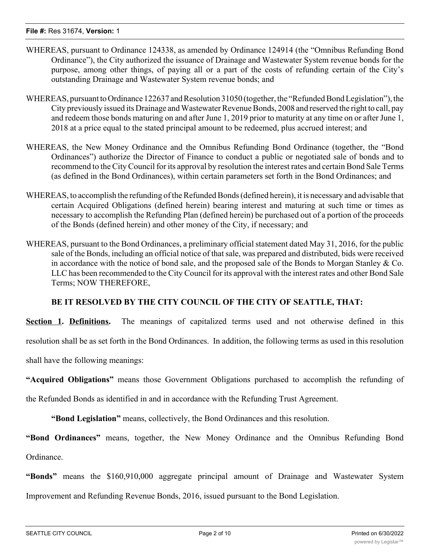- WHEREAS, pursuant to Ordinance 124338, as amended by Ordinance 124914 (the "Omnibus Refunding Bond Ordinance"), the City authorized the issuance of Drainage and Wastewater System revenue bonds for the purpose, among other things, of paying all or a part of the costs of refunding certain of the City's outstanding Drainage and Wastewater System revenue bonds; and
- WHEREAS, pursuant to Ordinance 122637 and Resolution 31050 (together, the "Refunded Bond Legislation"), the City previously issued its Drainage and Wastewater Revenue Bonds, 2008 and reserved the right to call, pay and redeem those bonds maturing on and after June 1, 2019 prior to maturity at any time on or after June 1, 2018 at a price equal to the stated principal amount to be redeemed, plus accrued interest; and
- WHEREAS, the New Money Ordinance and the Omnibus Refunding Bond Ordinance (together, the "Bond Ordinances") authorize the Director of Finance to conduct a public or negotiated sale of bonds and to recommend to the City Council for its approval by resolution the interest rates and certain Bond Sale Terms (as defined in the Bond Ordinances), within certain parameters set forth in the Bond Ordinances; and
- WHEREAS, to accomplish the refunding of the Refunded Bonds (defined herein), it is necessary and advisable that certain Acquired Obligations (defined herein) bearing interest and maturing at such time or times as necessary to accomplish the Refunding Plan (defined herein) be purchased out of a portion of the proceeds of the Bonds (defined herein) and other money of the City, if necessary; and
- WHEREAS, pursuant to the Bond Ordinances, a preliminary official statement dated May 31, 2016, for the public sale of the Bonds, including an official notice of that sale, was prepared and distributed, bids were received in accordance with the notice of bond sale, and the proposed sale of the Bonds to Morgan Stanley  $& Co.$ LLC has been recommended to the City Council for its approval with the interest rates and other Bond Sale Terms; NOW THEREFORE,

# **BE IT RESOLVED BY THE CITY COUNCIL OF THE CITY OF SEATTLE, THAT:**

**Section 1. Definitions.** The meanings of capitalized terms used and not otherwise defined in this

resolution shall be as set forth in the Bond Ordinances. In addition, the following terms as used in this resolution

shall have the following meanings:

**"Acquired Obligations"** means those Government Obligations purchased to accomplish the refunding of

the Refunded Bonds as identified in and in accordance with the Refunding Trust Agreement.

**"Bond Legislation"** means, collectively, the Bond Ordinances and this resolution.

**"Bond Ordinances"** means, together, the New Money Ordinance and the Omnibus Refunding Bond Ordinance.

**"Bonds"** means the \$160,910,000 aggregate principal amount of Drainage and Wastewater System Improvement and Refunding Revenue Bonds, 2016, issued pursuant to the Bond Legislation.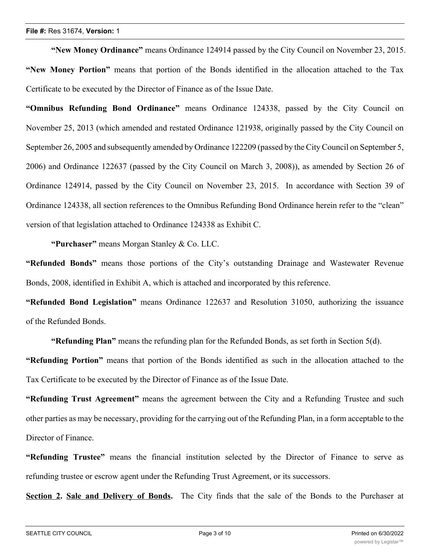**"New Money Ordinance"** means Ordinance 124914 passed by the City Council on November 23, 2015. **"New Money Portion"** means that portion of the Bonds identified in the allocation attached to the Tax Certificate to be executed by the Director of Finance as of the Issue Date.

**"Omnibus Refunding Bond Ordinance"** means Ordinance 124338, passed by the City Council on November 25, 2013 (which amended and restated Ordinance 121938, originally passed by the City Council on September 26, 2005 and subsequently amended by Ordinance 122209 (passed by the City Council on September 5, 2006) and Ordinance 122637 (passed by the City Council on March 3, 2008)), as amended by Section 26 of Ordinance 124914, passed by the City Council on November 23, 2015. In accordance with Section 39 of Ordinance 124338, all section references to the Omnibus Refunding Bond Ordinance herein refer to the "clean" version of that legislation attached to Ordinance 124338 as Exhibit C.

**"Purchaser"** means Morgan Stanley & Co. LLC.

**"Refunded Bonds"** means those portions of the City's outstanding Drainage and Wastewater Revenue Bonds, 2008, identified in Exhibit A, which is attached and incorporated by this reference.

**"Refunded Bond Legislation"** means Ordinance 122637 and Resolution 31050, authorizing the issuance of the Refunded Bonds.

**"Refunding Plan"** means the refunding plan for the Refunded Bonds, as set forth in Section 5(d).

**"Refunding Portion"** means that portion of the Bonds identified as such in the allocation attached to the Tax Certificate to be executed by the Director of Finance as of the Issue Date.

**"Refunding Trust Agreement"** means the agreement between the City and a Refunding Trustee and such other parties as may be necessary, providing for the carrying out of the Refunding Plan, in a form acceptable to the Director of Finance.

**"Refunding Trustee"** means the financial institution selected by the Director of Finance to serve as refunding trustee or escrow agent under the Refunding Trust Agreement, or its successors.

**Section 2. Sale and Delivery of Bonds.** The City finds that the sale of the Bonds to the Purchaser at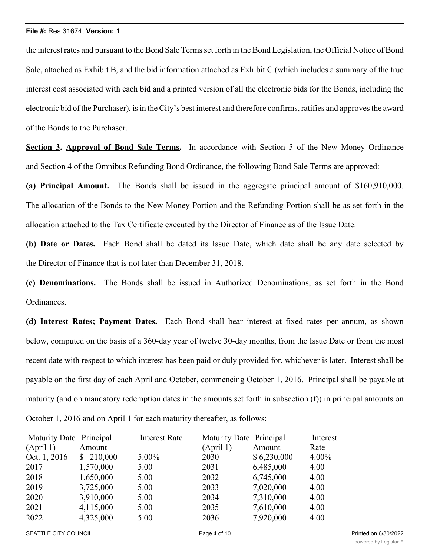the interest rates and pursuant to the Bond Sale Termsset forth in the Bond Legislation, the Official Notice of Bond Sale, attached as Exhibit B, and the bid information attached as Exhibit C (which includes a summary of the true interest cost associated with each bid and a printed version of all the electronic bids for the Bonds, including the electronic bid of the Purchaser), is in the City's best interest and therefore confirms, ratifies and approves the award of the Bonds to the Purchaser.

**Section 3. Approval of Bond Sale Terms.** In accordance with Section 5 of the New Money Ordinance and Section 4 of the Omnibus Refunding Bond Ordinance, the following Bond Sale Terms are approved:

**(a) Principal Amount.** The Bonds shall be issued in the aggregate principal amount of \$160,910,000. The allocation of the Bonds to the New Money Portion and the Refunding Portion shall be as set forth in the allocation attached to the Tax Certificate executed by the Director of Finance as of the Issue Date.

**(b) Date or Dates.** Each Bond shall be dated its Issue Date, which date shall be any date selected by the Director of Finance that is not later than December 31, 2018.

**(c) Denominations.** The Bonds shall be issued in Authorized Denominations, as set forth in the Bond Ordinances.

**(d) Interest Rates; Payment Dates.** Each Bond shall bear interest at fixed rates per annum, as shown below, computed on the basis of a 360-day year of twelve 30-day months, from the Issue Date or from the most recent date with respect to which interest has been paid or duly provided for, whichever is later. Interest shall be payable on the first day of each April and October, commencing October 1, 2016. Principal shall be payable at maturity (and on mandatory redemption dates in the amounts set forth in subsection (f)) in principal amounts on October 1, 2016 and on April 1 for each maturity thereafter, as follows:

| Maturity Date Principal |           | <b>Interest Rate</b> | Maturity Date Principal |             | Interest |
|-------------------------|-----------|----------------------|-------------------------|-------------|----------|
| (April 1)               | Amount    |                      | (April 1)               | Amount      | Rate     |
| Oct. 1, 2016            | \$210,000 | 5.00%                | 2030                    | \$6,230,000 | 4.00%    |
| 2017                    | 1,570,000 | 5.00                 | 2031                    | 6,485,000   | 4.00     |
| 2018                    | 1,650,000 | 5.00                 | 2032                    | 6,745,000   | 4.00     |
| 2019                    | 3,725,000 | 5.00                 | 2033                    | 7,020,000   | 4.00     |
| 2020                    | 3,910,000 | 5.00                 | 2034                    | 7,310,000   | 4.00     |
| 2021                    | 4,115,000 | 5.00                 | 2035                    | 7,610,000   | 4.00     |
| 2022                    | 4,325,000 | 5.00                 | 2036                    | 7,920,000   | 4.00     |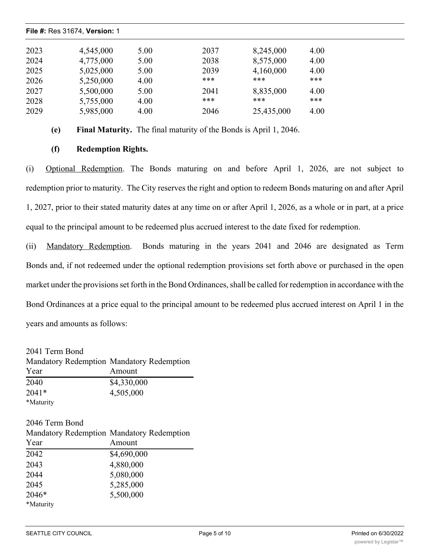| File #: Res 31674, Version: 1 |      |      |            |      |
|-------------------------------|------|------|------------|------|
| 4,545,000                     | 5.00 | 2037 | 8,245,000  | 4.00 |
| 4,775,000                     | 5.00 | 2038 | 8,575,000  | 4.00 |
| 5,025,000                     | 5.00 | 2039 | 4,160,000  | 4.00 |
| 5,250,000                     | 4.00 | ***  | ***        | ***  |
| 5,500,000                     | 5.00 | 2041 | 8,835,000  | 4.00 |
| 5,755,000                     | 4.00 | ***  | ***        | ***  |
| 5,985,000                     | 4.00 | 2046 | 25,435,000 | 4.00 |
|                               |      |      |            |      |

2020 3,910,000 5.00 2034 7,310,000 4.00

**(e) Final Maturity.** The final maturity of the Bonds is April 1, 2046.

# **(f) Redemption Rights.**

(i) Optional Redemption. The Bonds maturing on and before April 1, 2026, are not subject to redemption prior to maturity. The City reserves the right and option to redeem Bonds maturing on and after April 1, 2027, prior to their stated maturity dates at any time on or after April 1, 2026, as a whole or in part, at a price equal to the principal amount to be redeemed plus accrued interest to the date fixed for redemption.

(ii) Mandatory Redemption. Bonds maturing in the years 2041 and 2046 are designated as Term Bonds and, if not redeemed under the optional redemption provisions set forth above or purchased in the open market under the provisions set forth in the Bond Ordinances, shall be called for redemption in accordance with the Bond Ordinances at a price equal to the principal amount to be redeemed plus accrued interest on April 1 in the years and amounts as follows:

2041 Term Bond Mandatory Redemption Mandatory Redemption Year Amount 2040 \$4,330,000 2041\* 4,505,000 \*Maturity

## 2046 Term Bond

|           | Mandatory Redemption Mandatory Redemption |
|-----------|-------------------------------------------|
| Year      | Amount                                    |
| 2042      | \$4,690,000                               |
| 2043      | 4,880,000                                 |
| 2044      | 5,080,000                                 |
| 2045      | 5,285,000                                 |
| 2046*     | 5,500,000                                 |
| *Maturity |                                           |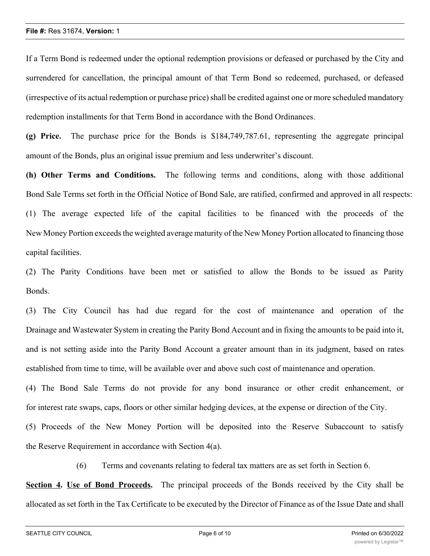If a Term Bond is redeemed under the optional redemption provisions or defeased or purchased by the City and surrendered for cancellation, the principal amount of that Term Bond so redeemed, purchased, or defeased (irrespective of its actual redemption or purchase price) shall be credited against one or more scheduled mandatory redemption installments for that Term Bond in accordance with the Bond Ordinances.

**(g) Price.** The purchase price for the Bonds is \$184,749,787.61, representing the aggregate principal amount of the Bonds, plus an original issue premium and less underwriter's discount.

**(h) Other Terms and Conditions.** The following terms and conditions, along with those additional Bond Sale Terms set forth in the Official Notice of Bond Sale, are ratified, confirmed and approved in all respects: (1) The average expected life of the capital facilities to be financed with the proceeds of the New Money Portion exceeds the weighted average maturity of the New Money Portion allocated to financing those capital facilities.

(2) The Parity Conditions have been met or satisfied to allow the Bonds to be issued as Parity Bonds.

(3) The City Council has had due regard for the cost of maintenance and operation of the Drainage and Wastewater System in creating the Parity Bond Account and in fixing the amounts to be paid into it, and is not setting aside into the Parity Bond Account a greater amount than in its judgment, based on rates established from time to time, will be available over and above such cost of maintenance and operation.

(4) The Bond Sale Terms do not provide for any bond insurance or other credit enhancement, or for interest rate swaps, caps, floors or other similar hedging devices, at the expense or direction of the City.

(5) Proceeds of the New Money Portion will be deposited into the Reserve Subaccount to satisfy the Reserve Requirement in accordance with Section 4(a).

(6) Terms and covenants relating to federal tax matters are as set forth in Section 6.

**Section 4. Use of Bond Proceeds.** The principal proceeds of the Bonds received by the City shall be allocated as set forth in the Tax Certificate to be executed by the Director of Finance as of the Issue Date and shall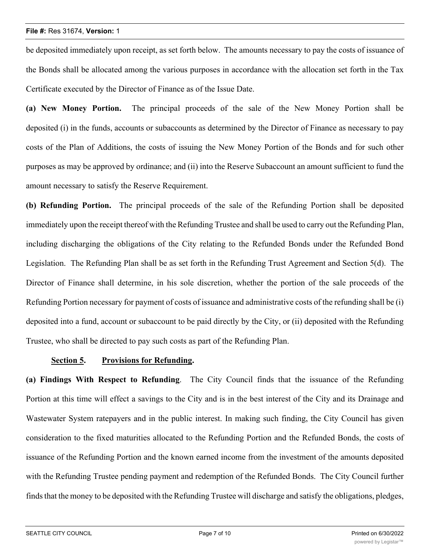be deposited immediately upon receipt, as set forth below. The amounts necessary to pay the costs of issuance of the Bonds shall be allocated among the various purposes in accordance with the allocation set forth in the Tax Certificate executed by the Director of Finance as of the Issue Date.

**(a) New Money Portion.** The principal proceeds of the sale of the New Money Portion shall be deposited (i) in the funds, accounts or subaccounts as determined by the Director of Finance as necessary to pay costs of the Plan of Additions, the costs of issuing the New Money Portion of the Bonds and for such other purposes as may be approved by ordinance; and (ii) into the Reserve Subaccount an amount sufficient to fund the amount necessary to satisfy the Reserve Requirement.

**(b) Refunding Portion.** The principal proceeds of the sale of the Refunding Portion shall be deposited immediately upon the receipt thereof with the Refunding Trustee and shall be used to carry out the Refunding Plan, including discharging the obligations of the City relating to the Refunded Bonds under the Refunded Bond Legislation. The Refunding Plan shall be as set forth in the Refunding Trust Agreement and Section 5(d). The Director of Finance shall determine, in his sole discretion, whether the portion of the sale proceeds of the Refunding Portion necessary for payment of costs of issuance and administrative costs of the refunding shall be (i) deposited into a fund, account or subaccount to be paid directly by the City, or (ii) deposited with the Refunding Trustee, who shall be directed to pay such costs as part of the Refunding Plan.

#### **Section 5. Provisions for Refunding.**

**(a) Findings With Respect to Refunding**. The City Council finds that the issuance of the Refunding Portion at this time will effect a savings to the City and is in the best interest of the City and its Drainage and Wastewater System ratepayers and in the public interest. In making such finding, the City Council has given consideration to the fixed maturities allocated to the Refunding Portion and the Refunded Bonds, the costs of issuance of the Refunding Portion and the known earned income from the investment of the amounts deposited with the Refunding Trustee pending payment and redemption of the Refunded Bonds. The City Council further finds that the money to be deposited with the Refunding Trustee will discharge and satisfy the obligations, pledges,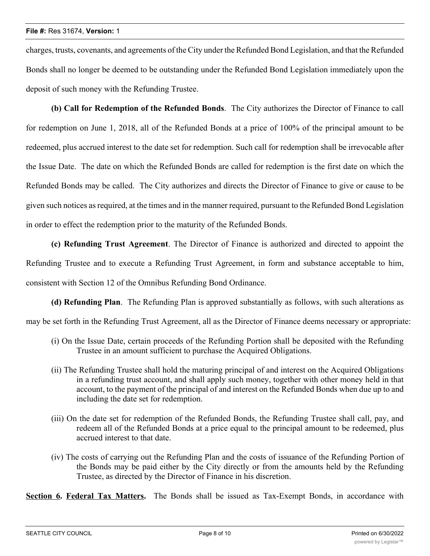charges, trusts, covenants, and agreements of the City under the Refunded Bond Legislation, and that the Refunded Bonds shall no longer be deemed to be outstanding under the Refunded Bond Legislation immediately upon the deposit of such money with the Refunding Trustee.

**(b) Call for Redemption of the Refunded Bonds**. The City authorizes the Director of Finance to call for redemption on June 1, 2018, all of the Refunded Bonds at a price of 100% of the principal amount to be redeemed, plus accrued interest to the date set for redemption. Such call for redemption shall be irrevocable after the Issue Date. The date on which the Refunded Bonds are called for redemption is the first date on which the Refunded Bonds may be called. The City authorizes and directs the Director of Finance to give or cause to be given such notices asrequired, at the times and in the manner required, pursuant to the Refunded Bond Legislation in order to effect the redemption prior to the maturity of the Refunded Bonds.

**(c) Refunding Trust Agreement**. The Director of Finance is authorized and directed to appoint the Refunding Trustee and to execute a Refunding Trust Agreement, in form and substance acceptable to him, consistent with Section 12 of the Omnibus Refunding Bond Ordinance.

**(d) Refunding Plan**. The Refunding Plan is approved substantially as follows, with such alterations as

may be set forth in the Refunding Trust Agreement, all as the Director of Finance deems necessary or appropriate:

- (i) On the Issue Date, certain proceeds of the Refunding Portion shall be deposited with the Refunding Trustee in an amount sufficient to purchase the Acquired Obligations.
- (ii) The Refunding Trustee shall hold the maturing principal of and interest on the Acquired Obligations in a refunding trust account, and shall apply such money, together with other money held in that account, to the payment of the principal of and interest on the Refunded Bonds when due up to and including the date set for redemption.
- (iii) On the date set for redemption of the Refunded Bonds, the Refunding Trustee shall call, pay, and redeem all of the Refunded Bonds at a price equal to the principal amount to be redeemed, plus accrued interest to that date.
- (iv) The costs of carrying out the Refunding Plan and the costs of issuance of the Refunding Portion of the Bonds may be paid either by the City directly or from the amounts held by the Refunding Trustee, as directed by the Director of Finance in his discretion.

**Section 6. Federal Tax Matters.** The Bonds shall be issued as Tax-Exempt Bonds, in accordance with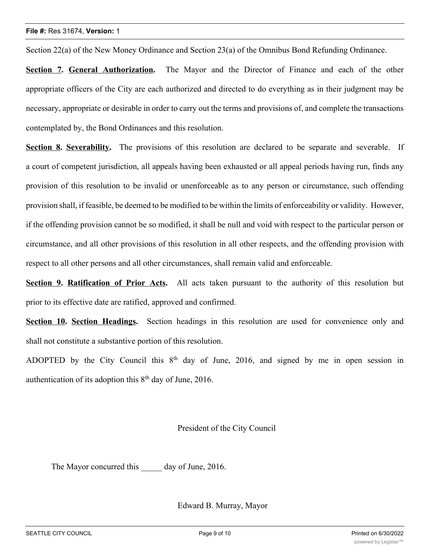Section 22(a) of the New Money Ordinance and Section 23(a) of the Omnibus Bond Refunding Ordinance.

**Section 7. General Authorization.** The Mayor and the Director of Finance and each of the other appropriate officers of the City are each authorized and directed to do everything as in their judgment may be necessary, appropriate or desirable in order to carry out the terms and provisions of, and complete the transactions contemplated by, the Bond Ordinances and this resolution.

**Section 8. Severability.** The provisions of this resolution are declared to be separate and severable. If a court of competent jurisdiction, all appeals having been exhausted or all appeal periods having run, finds any provision of this resolution to be invalid or unenforceable as to any person or circumstance, such offending provision shall, if feasible, be deemed to be modified to be within the limits of enforceability or validity. However, if the offending provision cannot be so modified, it shall be null and void with respect to the particular person or circumstance, and all other provisions of this resolution in all other respects, and the offending provision with respect to all other persons and all other circumstances, shall remain valid and enforceable.

**Section 9. Ratification of Prior Acts.** All acts taken pursuant to the authority of this resolution but prior to its effective date are ratified, approved and confirmed.

**Section 10. Section Headings.** Section headings in this resolution are used for convenience only and shall not constitute a substantive portion of this resolution.

ADOPTED by the City Council this  $8<sup>th</sup>$  day of June, 2016, and signed by me in open session in authentication of its adoption this  $8<sup>th</sup>$  day of June, 2016.

President of the City Council

The Mayor concurred this day of June, 2016.

Edward B. Murray, Mayor